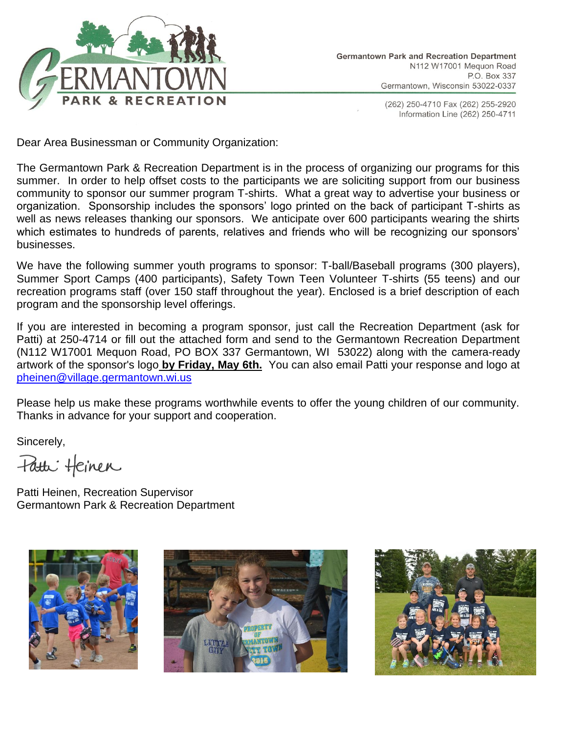

(262) 250-4710 Fax (262) 255-2920 Information Line (262) 250-4711

Dear Area Businessman or Community Organization:

The Germantown Park & Recreation Department is in the process of organizing our programs for this summer. In order to help offset costs to the participants we are soliciting support from our business community to sponsor our summer program T-shirts. What a great way to advertise your business or organization. Sponsorship includes the sponsors' logo printed on the back of participant T-shirts as well as news releases thanking our sponsors. We anticipate over 600 participants wearing the shirts which estimates to hundreds of parents, relatives and friends who will be recognizing our sponsors' businesses.

We have the following summer youth programs to sponsor: T-ball/Baseball programs (300 players), Summer Sport Camps (400 participants), Safety Town Teen Volunteer T-shirts (55 teens) and our recreation programs staff (over 150 staff throughout the year). Enclosed is a brief description of each program and the sponsorship level offerings.

If you are interested in becoming a program sponsor, just call the Recreation Department (ask for Patti) at 250-4714 or fill out the attached form and send to the Germantown Recreation Department (N112 W17001 Mequon Road, PO BOX 337 Germantown, WI 53022) along with the camera-ready artwork of the sponsor's logo **by Friday, May 6th.** You can also email Patti your response and logo at [pheinen@village.germantown.wi.us](mailto:pwilke@village.germantown.wi.us)

Please help us make these programs worthwhile events to offer the young children of our community. Thanks in advance for your support and cooperation.

Sincerely,

Fatti Heinen

Patti Heinen, Recreation Supervisor Germantown Park & Recreation Department





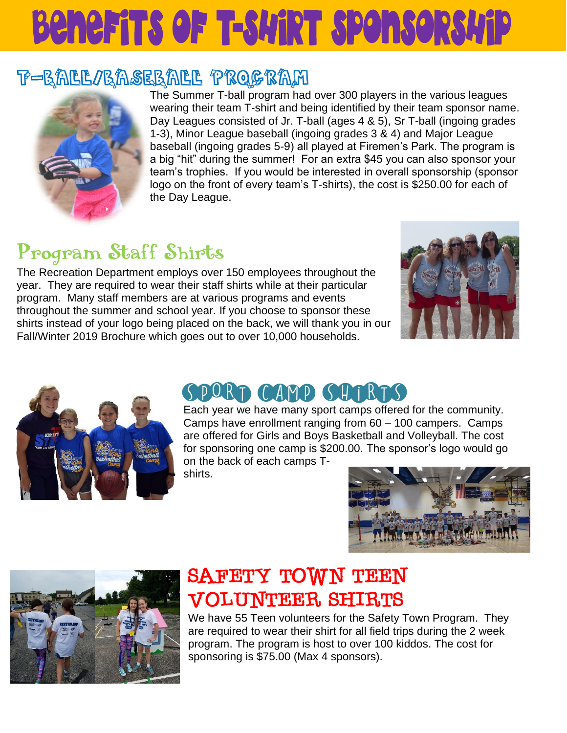# **Benefits of T-SWIRT SPONSORSWIP**

### T-BALL/BASEBALL PROGRAM



The Summer T-ball program had over 300 players in the various leagues wearing their team T-shirt and being identified by their team sponsor name. Day Leagues consisted of Jr. T-ball (ages 4 & 5), Sr T-ball (ingoing grades 1-3), Minor League baseball (ingoing grades 3 & 4) and Major League baseball (ingoing grades 5-9) all played at Firemen's Park. The program is a big "hit" during the summer! For an extra \$45 you can also sponsor your team's trophies. If you would be interested in overall sponsorship (sponsor logo on the front of every team's T-shirts), the cost is \$250.00 for each of the Day League.

## Program Staff Shirts

The Recreation Department employs over 150 employees throughout the year. They are required to wear their staff shirts while at their particular program. Many staff members are at various programs and events throughout the summer and school year. If you choose to sponsor these shirts instead of your logo being placed on the back, we will thank you in our Fall/Winter 2019 Brochure which goes out to over 10,000 households.





## SPORT CAMP SHIRTS

Each year we have many sport camps offered for the community. Camps have enrollment ranging from 60 – 100 campers. Camps are offered for Girls and Boys Basketball and Volleyball. The cost for sponsoring one camp is \$200.00. The sponsor's logo would go on the back of each camps Tshirts.





## SAFETY TOWN TEEN **VOLUNTEER SHIRTS**

We have 55 Teen volunteers for the Safety Town Program. They are required to wear their shirt for all field trips during the 2 week program. The program is host to over 100 kiddos. The cost for sponsoring is \$75.00 (Max 4 sponsors).